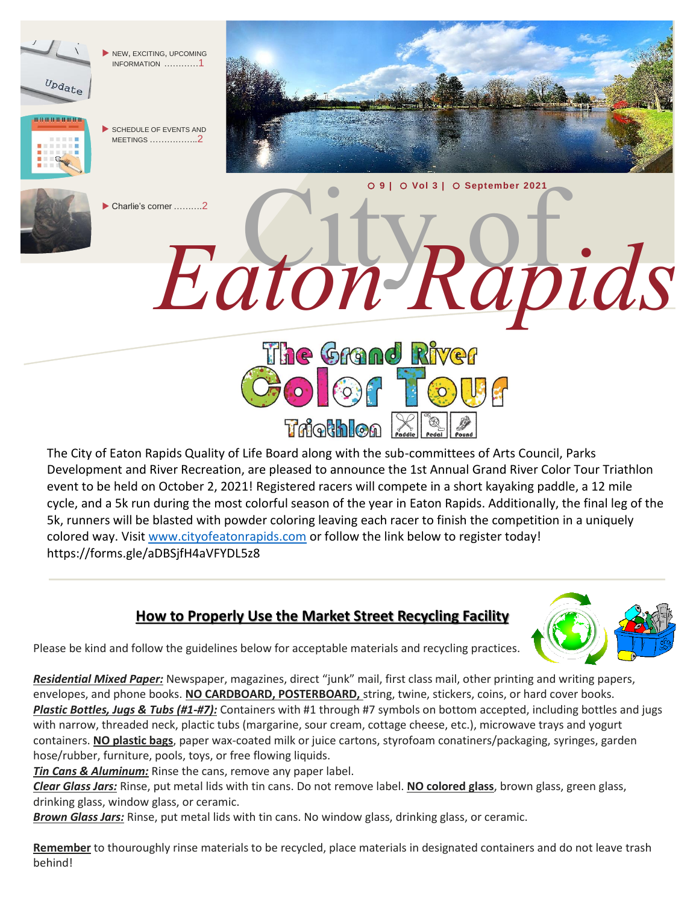

The City of Eaton Rapids Quality of Life Board along with the sub-committees of Arts Council, Parks Development and River Recreation, are pleased to announce the 1st Annual Grand River Color Tour Triathlon event to be held on October 2, 2021! Registered racers will compete in a short kayaking paddle, a 12 mile cycle, and a 5k run during the most colorful season of the year in Eaton Rapids. Additionally, the final leg of the 5k, runners will be blasted with powder coloring leaving each racer to finish the competition in a uniquely colored way. Visit [www.cityofeatonrapids.com](http://www.cityofeatonrapids.com/) or follow the link below to register today! https://forms.gle/aDBSjfH4aVFYDL5z8

## **How to Properly Use the Market Street Recycling Facility**



Please be kind and follow the guidelines below for acceptable materials and recycling practices.

*Residential Mixed Paper:* Newspaper, magazines, direct "junk" mail, first class mail, other printing and writing papers, envelopes, and phone books. **NO CARDBOARD, POSTERBOARD,** string, twine, stickers, coins, or hard cover books. *Plastic Bottles, Jugs & Tubs (#1-#7):* Containers with #1 through #7 symbols on bottom accepted, including bottles and jugs with narrow, threaded neck, plactic tubs (margarine, sour cream, cottage cheese, etc.), microwave trays and yogurt containers. **NO plastic bags**, paper wax-coated milk or juice cartons, styrofoam conatiners/packaging, syringes, garden hose/rubber, furniture, pools, toys, or free flowing liquids.

*Tin Cans & Aluminum:* Rinse the cans, remove any paper label.

*Clear Glass Jars:* Rinse, put metal lids with tin cans. Do not remove label. **NO colored glass**, brown glass, green glass, drinking glass, window glass, or ceramic.

*Brown Glass Jars:* Rinse, put metal lids with tin cans. No window glass, drinking glass, or ceramic.

**Remember** to thouroughly rinse materials to be recycled, place materials in designated containers and do not leave trash behind!